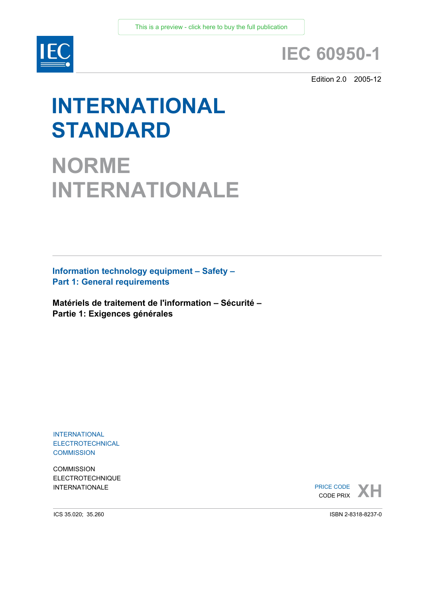

# **IEC 60950-1**

Edition 2.0 2005-12

# **INTERNATIONAL STANDARD**

**NORME INTERNATIONALE**

**Information technology equipment – Safety – Part 1: General requirements** 

**Matériels de traitement de l'information – Sécurité – Partie 1: Exigences générales** 

INTERNATIONAL ELECTROTECHNICAL **COMMISSION** 

**COMMISSION** ELECTROTECHNIQUE

INTERNATIONALE PRICE CODE **XH** PRICE CODE

ICS 35.020; 35.260

ISBN 2-8318-8237-0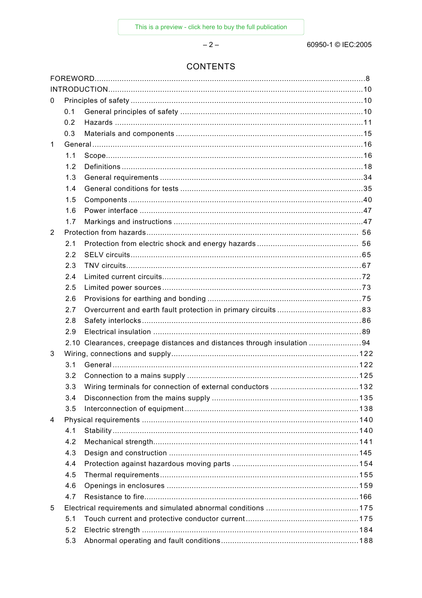$-2-$ 

# **CONTENTS**

| 0 |     |                                                                         |  |
|---|-----|-------------------------------------------------------------------------|--|
|   | 0.1 |                                                                         |  |
|   | 0.2 |                                                                         |  |
|   | 0.3 |                                                                         |  |
| 1 |     |                                                                         |  |
|   | 1.1 |                                                                         |  |
|   | 1.2 |                                                                         |  |
|   | 1.3 |                                                                         |  |
|   | 1.4 |                                                                         |  |
|   | 1.5 |                                                                         |  |
|   | 1.6 |                                                                         |  |
|   | 1.7 |                                                                         |  |
| 2 |     |                                                                         |  |
|   | 2.1 |                                                                         |  |
|   | 2.2 |                                                                         |  |
|   | 2.3 |                                                                         |  |
|   | 2.4 |                                                                         |  |
|   | 2.5 |                                                                         |  |
|   | 2.6 |                                                                         |  |
|   | 2.7 |                                                                         |  |
|   | 2.8 |                                                                         |  |
|   | 2.9 |                                                                         |  |
|   |     | 2.10 Clearances, creepage distances and distances through insulation 94 |  |
| 3 |     |                                                                         |  |
|   | 3.1 |                                                                         |  |
|   | 3.2 |                                                                         |  |
|   | 3.3 |                                                                         |  |
|   | 3.4 |                                                                         |  |
|   | 3.5 |                                                                         |  |
| 4 |     |                                                                         |  |
|   | 4.1 |                                                                         |  |
|   | 4.2 |                                                                         |  |
|   | 4.3 |                                                                         |  |
|   | 4.4 |                                                                         |  |
|   | 4.5 |                                                                         |  |
|   | 4.6 |                                                                         |  |
|   | 4.7 |                                                                         |  |
| 5 |     |                                                                         |  |
|   | 5.1 |                                                                         |  |
|   | 5.2 |                                                                         |  |
|   | 5.3 |                                                                         |  |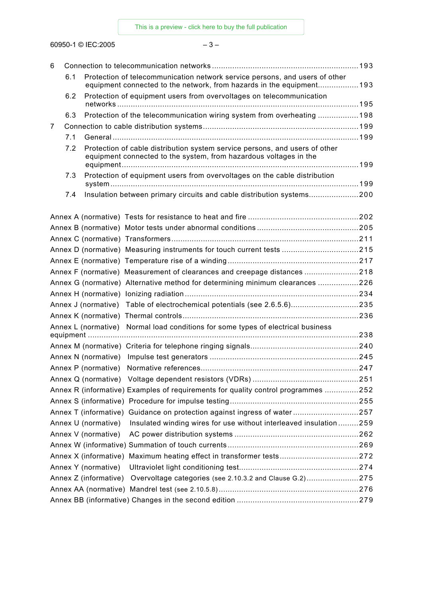[This is a preview - click here to buy the full publication](https://webstore.iec.ch/publication/4020&preview=1)

60950-1 IEC:2005 – 5 – 60950-1 © IEC:2005 – 3 –

| 6 |     |                                                                                                                                                     |  |
|---|-----|-----------------------------------------------------------------------------------------------------------------------------------------------------|--|
|   | 6.1 | Protection of telecommunication network service persons, and users of other<br>equipment connected to the network, from hazards in the equipment193 |  |
|   | 6.2 | Protection of equipment users from overvoltages on telecommunication                                                                                |  |
|   | 6.3 | Protection of the telecommunication wiring system from overheating 198                                                                              |  |
| 7 |     |                                                                                                                                                     |  |
|   | 7.1 |                                                                                                                                                     |  |
|   | 7.2 | Protection of cable distribution system service persons, and users of other                                                                         |  |
|   |     | equipment connected to the system, from hazardous voltages in the                                                                                   |  |
|   | 7.3 | Protection of equipment users from overvoltages on the cable distribution                                                                           |  |
|   | 7.4 | Insulation between primary circuits and cable distribution systems200                                                                               |  |
|   |     |                                                                                                                                                     |  |
|   |     |                                                                                                                                                     |  |
|   |     |                                                                                                                                                     |  |
|   |     |                                                                                                                                                     |  |
|   |     |                                                                                                                                                     |  |
|   |     | Annex F (normative) Measurement of clearances and creepage distances 218                                                                            |  |
|   |     | Annex G (normative) Alternative method for determining minimum clearances 226                                                                       |  |
|   |     |                                                                                                                                                     |  |
|   |     | Annex J (normative) Table of electrochemical potentials (see 2.6.5.6)235                                                                            |  |
|   |     |                                                                                                                                                     |  |
|   |     | Annex L (normative) Normal load conditions for some types of electrical business                                                                    |  |
|   |     |                                                                                                                                                     |  |
|   |     |                                                                                                                                                     |  |
|   |     |                                                                                                                                                     |  |
|   |     |                                                                                                                                                     |  |
|   |     | Annex R (informative) Examples of requirements for quality control programmes 252                                                                   |  |
|   |     |                                                                                                                                                     |  |
|   |     | Annex T (informative) Guidance on protection against ingress of water257                                                                            |  |
|   |     | Insulated winding wires for use without interleaved insulation 259<br>Annex U (normative)                                                           |  |
|   |     | Annex V (normative)                                                                                                                                 |  |
|   |     |                                                                                                                                                     |  |
|   |     | Annex X (informative) Maximum heating effect in transformer tests272                                                                                |  |
|   |     | Annex Y (normative)                                                                                                                                 |  |
|   |     | Annex Z (informative)<br>Overvoltage categories (see 2.10.3.2 and Clause G.2)275                                                                    |  |
|   |     |                                                                                                                                                     |  |
|   |     |                                                                                                                                                     |  |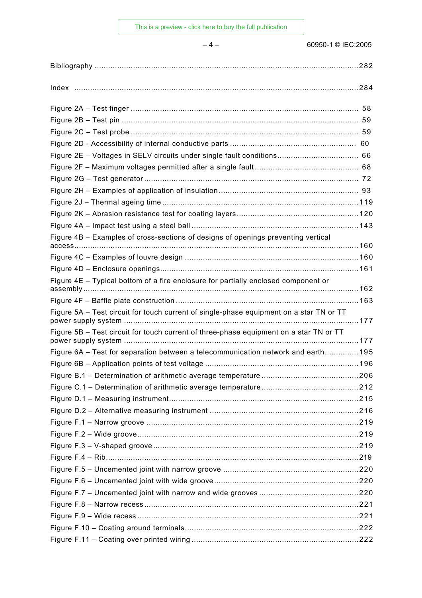| Figure 4B - Examples of cross-sections of designs of openings preventing vertical       |  |
|-----------------------------------------------------------------------------------------|--|
|                                                                                         |  |
|                                                                                         |  |
| Figure 4E - Typical bottom of a fire enclosure for partially enclosed component or      |  |
|                                                                                         |  |
| Figure 5A - Test circuit for touch current of single-phase equipment on a star TN or TT |  |
| Figure 5B - Test circuit for touch current of three-phase equipment on a star TN or TT  |  |
| Figure 6A – Test for separation between a telecommunication network and earth195        |  |
|                                                                                         |  |
|                                                                                         |  |
|                                                                                         |  |
|                                                                                         |  |
|                                                                                         |  |
|                                                                                         |  |
|                                                                                         |  |
|                                                                                         |  |
|                                                                                         |  |
|                                                                                         |  |
|                                                                                         |  |
|                                                                                         |  |
|                                                                                         |  |
|                                                                                         |  |
|                                                                                         |  |
|                                                                                         |  |

 $-4-$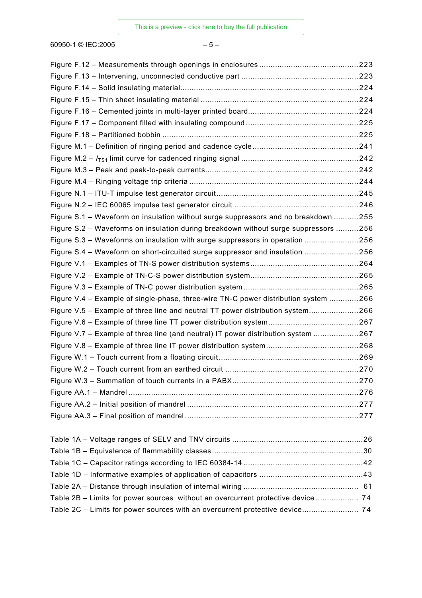60950-1 IEC:2005 – 9 – 60950-1 © IEC:2005 – 5 –

| Figure S.1 - Waveform on insulation without surge suppressors and no breakdown 255  |  |
|-------------------------------------------------------------------------------------|--|
| Figure S.2 - Waveforms on insulation during breakdown without surge suppressors 256 |  |
| Figure S.3 - Waveforms on insulation with surge suppressors in operation 256        |  |
| Figure S.4 – Waveform on short-circuited surge suppressor and insulation 256        |  |
|                                                                                     |  |
|                                                                                     |  |
|                                                                                     |  |
| Figure V.4 - Example of single-phase, three-wire TN-C power distribution system 266 |  |
| Figure V.5 - Example of three line and neutral TT power distribution system266      |  |
|                                                                                     |  |
| Figure V.7 - Example of three line (and neutral) IT power distribution system 267   |  |
|                                                                                     |  |
|                                                                                     |  |
|                                                                                     |  |
|                                                                                     |  |
|                                                                                     |  |
|                                                                                     |  |
|                                                                                     |  |
|                                                                                     |  |
|                                                                                     |  |
|                                                                                     |  |
|                                                                                     |  |
|                                                                                     |  |
|                                                                                     |  |
| Table 2B – Limits for power sources without an overcurrent protective device  74    |  |
| Table 2C – Limits for power sources with an overcurrent protective device 74        |  |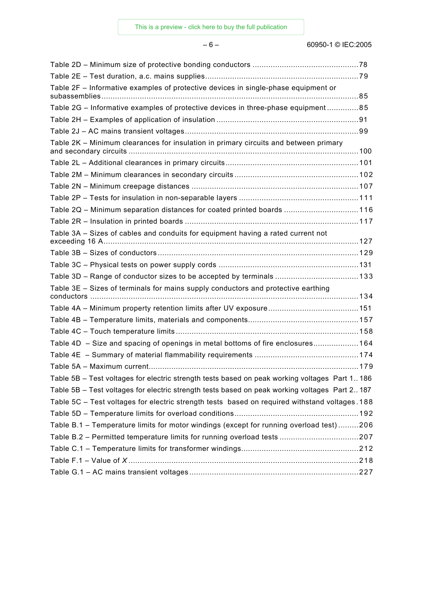$-6-$ 

| Table 2F – Informative examples of protective devices in single-phase equipment or<br>subassemblies |  |
|-----------------------------------------------------------------------------------------------------|--|
| Table 2G – Informative examples of protective devices in three-phase equipment85                    |  |
|                                                                                                     |  |
|                                                                                                     |  |
| Table 2K – Minimum clearances for insulation in primary circuits and between primary                |  |
|                                                                                                     |  |
|                                                                                                     |  |
|                                                                                                     |  |
|                                                                                                     |  |
| Table 2Q - Minimum separation distances for coated printed boards 116                               |  |
|                                                                                                     |  |
| Table 3A - Sizes of cables and conduits for equipment having a rated current not                    |  |
|                                                                                                     |  |
|                                                                                                     |  |
| Table 3D - Range of conductor sizes to be accepted by terminals  133                                |  |
| Table 3E – Sizes of terminals for mains supply conductors and protective earthing                   |  |
|                                                                                                     |  |
|                                                                                                     |  |
|                                                                                                     |  |
| Table 4D – Size and spacing of openings in metal bottoms of fire enclosures 164                     |  |
|                                                                                                     |  |
|                                                                                                     |  |
| Table 5B – Test voltages for electric strength tests based on peak working voltages Part 1186       |  |
| Table 5B – Test voltages for electric strength tests based on peak working voltages Part 2187       |  |
| Table 5C - Test voltages for electric strength tests based on required withstand voltages. 188      |  |
|                                                                                                     |  |
| Table B.1 - Temperature limits for motor windings (except for running overload test)206             |  |
|                                                                                                     |  |
|                                                                                                     |  |
|                                                                                                     |  |
|                                                                                                     |  |
|                                                                                                     |  |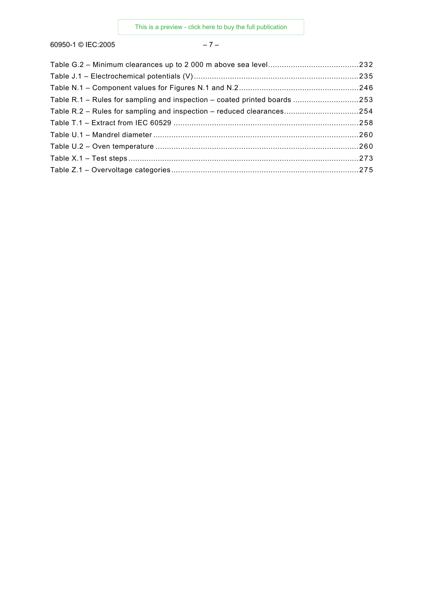60950-1 IEC:2005 – 13 – 60950-1 © IEC:2005 – 7 –

| Table R.1 – Rules for sampling and inspection – coated printed boards 253 |  |
|---------------------------------------------------------------------------|--|
| Table R.2 – Rules for sampling and inspection – reduced clearances254     |  |
|                                                                           |  |
|                                                                           |  |
|                                                                           |  |
|                                                                           |  |
|                                                                           |  |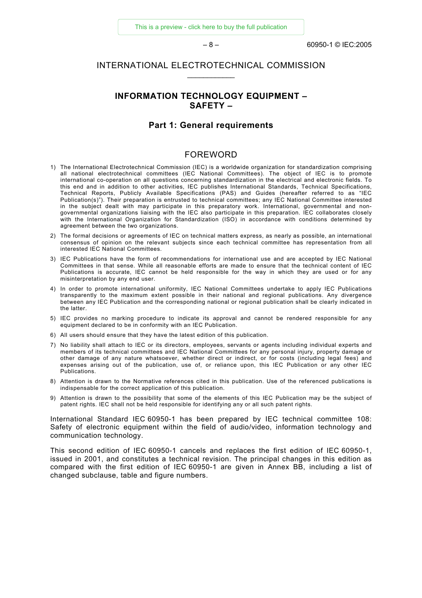$-8-$ 

 $-8 - 8$  – 60950-1 © IFC:2005

# INTERNATIONAL ELECTROTECHNICAL COMMISSION

# **INFORMATION TECHNOLOGY EQUIPMENT – SAFETY –**

### **Part 1: General requirements**

# FOREWORD

- 1) The International Electrotechnical Commission (IEC) is a worldwide organization for standardization comprising all national electrotechnical committees (IEC National Committees). The object of IEC is to promote international co-operation on all questions concerning standardization in the electrical and electronic fields. To this end and in addition to other activities, IEC publishes International Standards, Technical Specifications, Technical Reports, Publicly Available Specifications (PAS) and Guides (hereafter referred to as "IEC Publication(s)"). Their preparation is entrusted to technical committees; any IEC National Committee interested in the subject dealt with may participate in this preparatory work. International, governmental and nongovernmental organizations liaising with the IEC also participate in this preparation. IEC collaborates closely with the International Organization for Standardization (ISO) in accordance with conditions determined by agreement between the two organizations.
- 2) The formal decisions or agreements of IEC on technical matters express, as nearly as possible, an international consensus of opinion on the relevant subjects since each technical committee has representation from all interested IEC National Committees.
- 3) IEC Publications have the form of recommendations for international use and are accepted by IEC National Committees in that sense. While all reasonable efforts are made to ensure that the technical content of IEC Publications is accurate, IEC cannot be held responsible for the way in which they are used or for any misinterpretation by any end user.
- 4) In order to promote international uniformity, IEC National Committees undertake to apply IEC Publications transparently to the maximum extent possible in their national and regional publications. Any divergence between any IEC Publication and the corresponding national or regional publication shall be clearly indicated in the latter.
- 5) IEC provides no marking procedure to indicate its approval and cannot be rendered responsible for any equipment declared to be in conformity with an IEC Publication.
- 6) All users should ensure that they have the latest edition of this publication.
- 7) No liability shall attach to IEC or its directors, employees, servants or agents including individual experts and members of its technical committees and IEC National Committees for any personal injury, property damage or other damage of any nature whatsoever, whether direct or indirect, or for costs (including legal fees) and expenses arising out of the publication, use of, or reliance upon, this IEC Publication or any other IEC Publications.
- 8) Attention is drawn to the Normative references cited in this publication. Use of the referenced publications is indispensable for the correct application of this publication.
- 9) Attention is drawn to the possibility that some of the elements of this IEC Publication may be the subject of patent rights. IEC shall not be held responsible for identifying any or all such patent rights.

International Standard IEC 60950-1 has been prepared by IEC technical committee 108: Safety of electronic equipment within the field of audio/video, information technology and communication technology.

This second edition of IEC 60950-1 cancels and replaces the first edition of IEC 60950-1, issued in 2001, and constitutes a technical revision. The principal changes in this edition as compared with the first edition of IEC 60950-1 are given in Annex BB, including a list of changed subclause, table and figure numbers.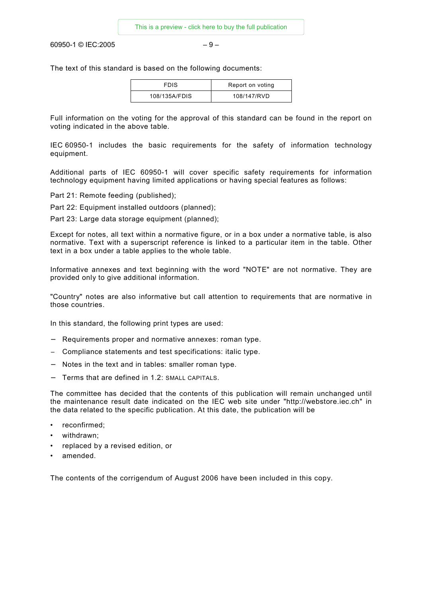60950-1 IEC:2005 – 17 – 60950-1 © IEC:2005 – 9 –

The text of this standard is based on the following documents:

| <b>FDIS</b>   | Report on voting |
|---------------|------------------|
| 108/135A/FDIS | 108/147/RVD      |

Full information on the voting for the approval of this standard can be found in the report on voting indicated in the above table.

IEC 60950-1 includes the basic requirements for the safety of information technology equipment.

Additional parts of IEC 60950-1 will cover specific safety requirements for information technology equipment having limited applications or having special features as follows:

Part 21: Remote feeding (published);

Part 22: Equipment installed outdoors (planned);

Part 23: Large data storage equipment (planned);

Except for notes, all text within a normative figure, or in a box under a normative table, is also normative. Text with a superscript reference is linked to a particular item in the table. Other text in a box under a table applies to the whole table.

Informative annexes and text beginning with the word "NOTE" are not normative. They are provided only to give additional information.

"Country" notes are also informative but call attention to requirements that are normative in those countries.

In this standard, the following print types are used:

- − Requirements proper and normative annexes: roman type.
- − Compliance statements and test specifications: italic type.
- − Notes in the text and in tables: smaller roman type.
- − Terms that are defined in 1.2: SMALL CAPITALS.

The committee has decided that the contents of this publication will remain unchanged until the maintenance result date indicated on the IEC web site under "http://webstore.iec.ch" in the data related to the specific publication. At this date, the publication will be

- reconfirmed;
- withdrawn;
- replaced by a revised edition, or
- amended.

The contents of the corrigendum of August 2006 have been included in this copy.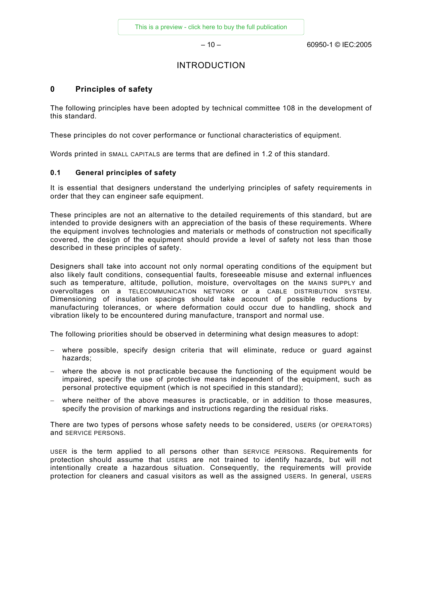$-10-$ 

# INTRODUCTION

# **0 Principles of safety**

The following principles have been adopted by technical committee 108 in the development of this standard.

These principles do not cover performance or functional characteristics of equipment.

Words printed in SMALL CAPITALS are terms that are defined in 1.2 of this standard.

### **0.1 General principles of safety**

It is essential that designers understand the underlying principles of safety requirements in order that they can engineer safe equipment.

These principles are not an alternative to the detailed requirements of this standard, but are intended to provide designers with an appreciation of the basis of these requirements. Where the equipment involves technologies and materials or methods of construction not specifically covered, the design of the equipment should provide a level of safety not less than those described in these principles of safety.

Designers shall take into account not only normal operating conditions of the equipment but also likely fault conditions, consequential faults, foreseeable misuse and external influences such as temperature, altitude, pollution, moisture, overvoltages on the MAINS SUPPLY and overvoltages on a TELECOMMUNICATION NETWORK or a CABLE DISTRIBUTION SYSTEM. Dimensioning of insulation spacings should take account of possible reductions by manufacturing tolerances, or where deformation could occur due to handling, shock and vibration likely to be encountered during manufacture, transport and normal use.

The following priorities should be observed in determining what design measures to adopt:

- where possible, specify design criteria that will eliminate, reduce or guard against hazards;
- where the above is not practicable because the functioning of the equipment would be impaired, specify the use of protective means independent of the equipment, such as personal protective equipment (which is not specified in this standard);
- − where neither of the above measures is practicable, or in addition to those measures, specify the provision of markings and instructions regarding the residual risks.

There are two types of persons whose safety needs to be considered, USERS (or OPERATORS) and SERVICE PERSONS.

USER is the term applied to all persons other than SERVICE PERSONS. Requirements for protection should assume that USERS are not trained to identify hazards, but will not intentionally create a hazardous situation. Consequently, the requirements will provide protection for cleaners and casual visitors as well as the assigned USERS. In general, USERS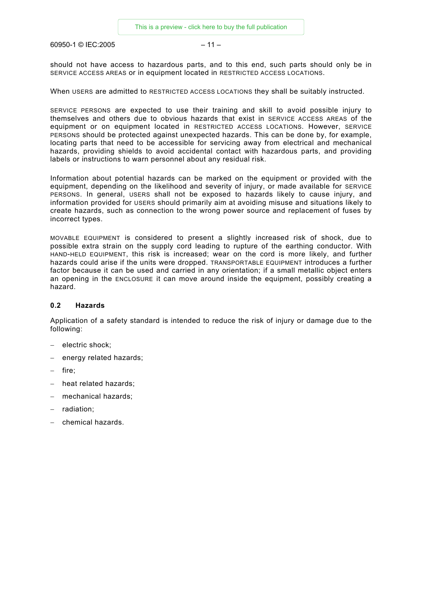60950-1 IEC:2005 – 21 – 60950-1 © IEC:2005 – 11 –

should not have access to hazardous parts, and to this end, such parts should only be in SERVICE ACCESS AREAS or in equipment located in RESTRICTED ACCESS LOCATIONS.

When USERS are admitted to RESTRICTED ACCESS LOCATIONS they shall be suitably instructed.

SERVICE PERSONS are expected to use their training and skill to avoid possible injury to themselves and others due to obvious hazards that exist in SERVICE ACCESS AREAS of the equipment or on equipment located in RESTRICTED ACCESS LOCATIONS. However, SERVICE PERSONS should be protected against unexpected hazards. This can be done by, for example, locating parts that need to be accessible for servicing away from electrical and mechanical hazards, providing shields to avoid accidental contact with hazardous parts, and providing labels or instructions to warn personnel about any residual risk.

Information about potential hazards can be marked on the equipment or provided with the equipment, depending on the likelihood and severity of injury, or made available for SERVICE PERSONS. In general, USERS shall not be exposed to hazards likely to cause injury, and information provided for USERS should primarily aim at avoiding misuse and situations likely to create hazards, such as connection to the wrong power source and replacement of fuses by incorrect types.

MOVABLE EQUIPMENT is considered to present a slightly increased risk of shock, due to possible extra strain on the supply cord leading to rupture of the earthing conductor. With HAND-HELD EQUIPMENT, this risk is increased; wear on the cord is more likely, and further hazards could arise if the units were dropped. TRANSPORTABLE EQUIPMENT introduces a further factor because it can be used and carried in any orientation; if a small metallic object enters an opening in the ENCLOSURE it can move around inside the equipment, possibly creating a hazard.

### **0.2 Hazards**

Application of a safety standard is intended to reduce the risk of injury or damage due to the following:

- − electric shock;
- energy related hazards;
- fire;
- − heat related hazards;
- − mechanical hazards;
- − radiation;
- − chemical hazards.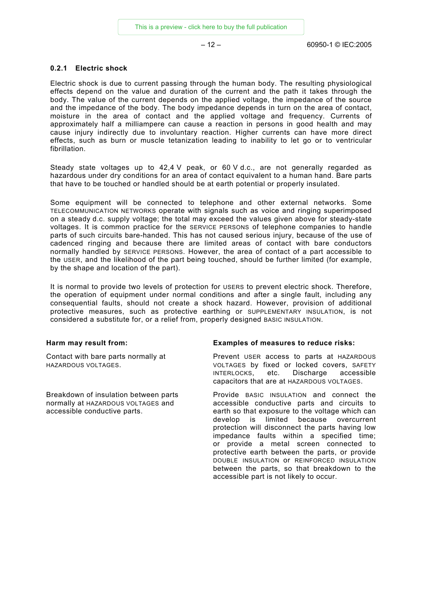$-12-$ 

### **0.2.1 Electric shock**

Electric shock is due to current passing through the human body. The resulting physiological effects depend on the value and duration of the current and the path it takes through the body. The value of the current depends on the applied voltage, the impedance of the source and the impedance of the body. The body impedance depends in turn on the area of contact, moisture in the area of contact and the applied voltage and frequency. Currents of approximately half a milliampere can cause a reaction in persons in good health and may cause injury indirectly due to involuntary reaction. Higher currents can have more direct effects, such as burn or muscle tetanization leading to inability to let go or to ventricular fibrillation.

Steady state voltages up to 42,4 V peak, or 60 V d.c., are not generally regarded as hazardous under dry conditions for an area of contact equivalent to a human hand. Bare parts that have to be touched or handled should be at earth potential or properly insulated.

Some equipment will be connected to telephone and other external networks. Some TELECOMMUNICATION NETWORKS operate with signals such as voice and ringing superimposed on a steady d.c. supply voltage; the total may exceed the values given above for steady-state voltages. It is common practice for the SERVICE PERSONS of telephone companies to handle parts of such circuits bare-handed. This has not caused serious injury, because of the use of cadenced ringing and because there are limited areas of contact with bare conductors normally handled by SERVICE PERSONS. However, the area of contact of a part accessible to the USER, and the likelihood of the part being touched, should be further limited (for example, by the shape and location of the part).

It is normal to provide two levels of protection for USERS to prevent electric shock. Therefore, the operation of equipment under normal conditions and after a single fault, including any consequential faults, should not create a shock hazard. However, provision of additional protective measures, such as protective earthing or SUPPLEMENTARY INSULATION, is not considered a substitute for, or a relief from, properly designed BASIC INSULATION.

Contact with bare parts normally at HAZARDOUS VOLTAGES.

Breakdown of insulation between parts normally at HAZARDOUS VOLTAGES and accessible conductive parts.

### **Harm may result from: Examples of measures to reduce risks:**

Prevent USER access to parts at HAZARDOUS VOLTAGES by fixed or locked covers, SAFETY INTERLOCKS, etc. Discharge accessible capacitors that are at HAZARDOUS VOLTAGES.

Provide BASIC INSULATION and connect the accessible conductive parts and circuits to earth so that exposure to the voltage which can develop is limited because overcurrent protection will disconnect the parts having low impedance faults within a specified time; or provide a metal screen connected to protective earth between the parts, or provide DOUBLE INSULATION or REINFORCED INSULATION between the parts, so that breakdown to the accessible part is not likely to occur.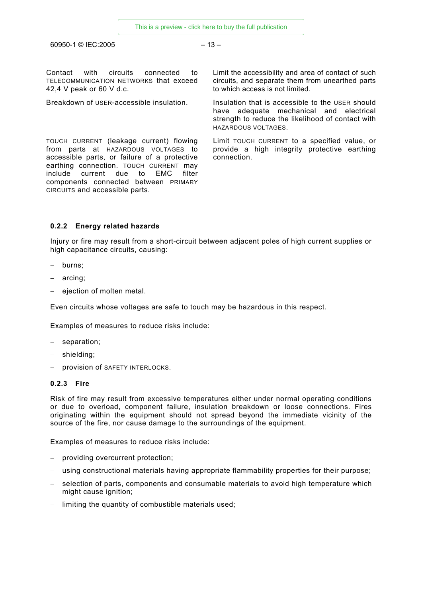60950-1 IEC:2005 – 25 – 60950-1 © IEC:2005 – 13 –

Contact with circuits connected to TELECOMMUNICATION NETWORKS that exceed 42,4 V peak or 60 V d.c.

TOUCH CURRENT (leakage current) flowing from parts at HAZARDOUS VOLTAGES to accessible parts, or failure of a protective earthing connection. TOUCH CURRENT may include current due to EMC filter components connected between PRIMARY CIRCUITS and accessible parts.

Limit the accessibility and area of contact of such circuits, and separate them from unearthed parts to which access is not limited.

Breakdown of USER-accessible insulation. Insulation that is accessible to the USER should have adequate mechanical and electrical strength to reduce the likelihood of contact with HAZARDOUS VOLTAGES.

> Limit TOUCH CURRENT to a specified value, or provide a high integrity protective earthing connection.

# **0.2.2 Energy related hazards**

Injury or fire may result from a short-circuit between adjacent poles of high current supplies or high capacitance circuits, causing:

- − burns;
- arcing;
- − ejection of molten metal.

Even circuits whose voltages are safe to touch may be hazardous in this respect.

Examples of measures to reduce risks include:

- separation;
- shielding;
- − provision of SAFETY INTERLOCKS.

# **0.2.3 Fire**

Risk of fire may result from excessive temperatures either under normal operating conditions or due to overload, component failure, insulation breakdown or loose connections. Fires originating within the equipment should not spread beyond the immediate vicinity of the source of the fire, nor cause damage to the surroundings of the equipment.

Examples of measures to reduce risks include:

- providing overcurrent protection;
- using constructional materials having appropriate flammability properties for their purpose;
- selection of parts, components and consumable materials to avoid high temperature which might cause ignition;
- − limiting the quantity of combustible materials used;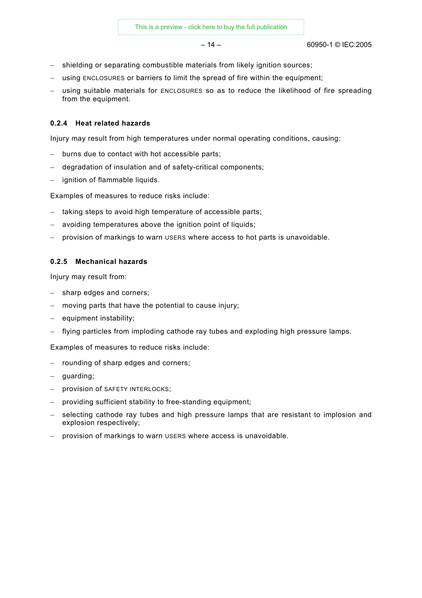$-14-$ 

- shielding or separating combustible materials from likely ignition sources;
- using ENCLOSURES or barriers to limit the spread of fire within the equipment;
- using suitable materials for ENCLOSURES so as to reduce the likelihood of fire spreading from the equipment.

# **0.2.4 Heat related hazards**

Injury may result from high temperatures under normal operating conditions, causing:

- − burns due to contact with hot accessible parts;
- degradation of insulation and of safety-critical components;
- − ignition of flammable liquids.

Examples of measures to reduce risks include:

- taking steps to avoid high temperature of accessible parts;
- avoiding temperatures above the ignition point of liquids;
- provision of markings to warn USERS where access to hot parts is unavoidable.

# **0.2.5 Mechanical hazards**

Injury may result from:

- sharp edges and corners;
- moving parts that have the potential to cause injury;
- equipment instability;
- flying particles from imploding cathode ray tubes and exploding high pressure lamps.

Examples of measures to reduce risks include:

- − rounding of sharp edges and corners;
- − guarding;
- − provision of SAFETY INTERLOCKS;
- providing sufficient stability to free-standing equipment;
- selecting cathode ray tubes and high pressure lamps that are resistant to implosion and explosion respectively;
- provision of markings to warn USERS where access is unavoidable.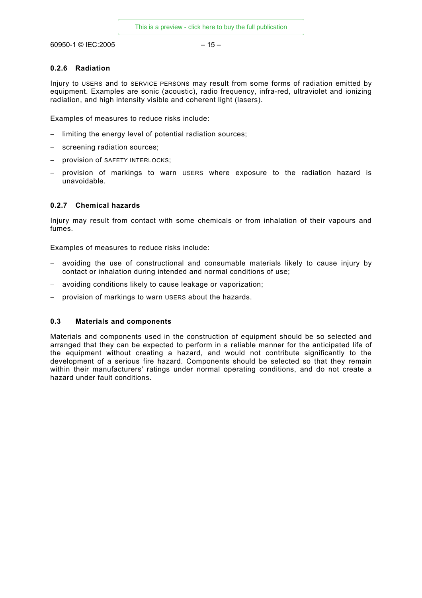60950-1 IEC:2005 – 29 – 60950-1 © IEC:2005 – 15 –

# **0.2.6 Radiation**

Injury to USERS and to SERVICE PERSONS may result from some forms of radiation emitted by equipment. Examples are sonic (acoustic), radio frequency, infra-red, ultraviolet and ionizing radiation, and high intensity visible and coherent light (lasers).

Examples of measures to reduce risks include:

- limiting the energy level of potential radiation sources;
- screening radiation sources;
- − provision of SAFETY INTERLOCKS;
- − provision of markings to warn USERS where exposure to the radiation hazard is unavoidable.

# **0.2.7 Chemical hazards**

Injury may result from contact with some chemicals or from inhalation of their vapours and fumes.

Examples of measures to reduce risks include:

- − avoiding the use of constructional and consumable materials likely to cause injury by contact or inhalation during intended and normal conditions of use;
- avoiding conditions likely to cause leakage or vaporization;
- − provision of markings to warn USERS about the hazards.

# **0.3 Materials and components**

Materials and components used in the construction of equipment should be so selected and arranged that they can be expected to perform in a reliable manner for the anticipated life of the equipment without creating a hazard, and would not contribute significantly to the development of a serious fire hazard. Components should be selected so that they remain within their manufacturers' ratings under normal operating conditions, and do not create a hazard under fault conditions.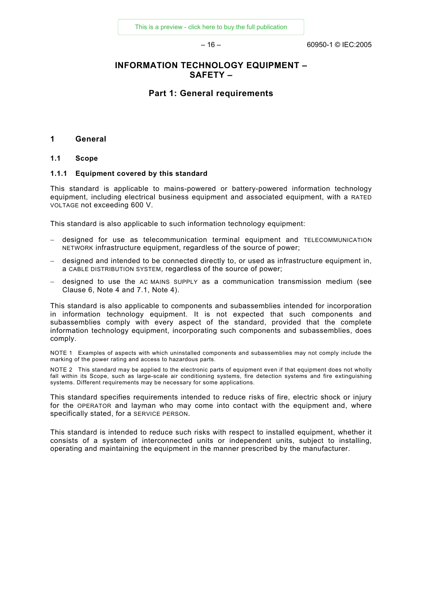$-16-$ 

 $-16 -$  60950-1 © IFC:2005

# **INFORMATION TECHNOLOGY EQUIPMENT – SAFETY –**

# **Part 1: General requirements**

### **1 General**

### **1.1 Scope**

#### **1.1.1 Equipment covered by this standard**

This standard is applicable to mains-powered or battery-powered information technology equipment, including electrical business equipment and associated equipment, with a RATED VOLTAGE not exceeding 600 V.

This standard is also applicable to such information technology equipment:

- − designed for use as telecommunication terminal equipment and TELECOMMUNICATION NETWORK infrastructure equipment, regardless of the source of power;
- − designed and intended to be connected directly to, or used as infrastructure equipment in, a CABLE DISTRIBUTION SYSTEM, regardless of the source of power;
- − designed to use the AC MAINS SUPPLY as a communication transmission medium (see Clause 6, Note 4 and 7.1, Note 4).

This standard is also applicable to components and subassemblies intended for incorporation in information technology equipment. It is not expected that such components and subassemblies comply with every aspect of the standard, provided that the complete information technology equipment, incorporating such components and subassemblies, does comply.

NOTE 1 Examples of aspects with which uninstalled components and subassemblies may not comply include the marking of the power rating and access to hazardous parts.

NOTE 2 This standard may be applied to the electronic parts of equipment even if that equipment does not wholly fall within its Scope, such as large-scale air conditioning systems, fire detection systems and fire extinguishing systems. Different requirements may be necessary for some applications.

This standard specifies requirements intended to reduce risks of fire, electric shock or injury for the OPERATOR and layman who may come into contact with the equipment and, where specifically stated, for a SERVICE PERSON.

This standard is intended to reduce such risks with respect to installed equipment, whether it consists of a system of interconnected units or independent units, subject to installing, operating and maintaining the equipment in the manner prescribed by the manufacturer.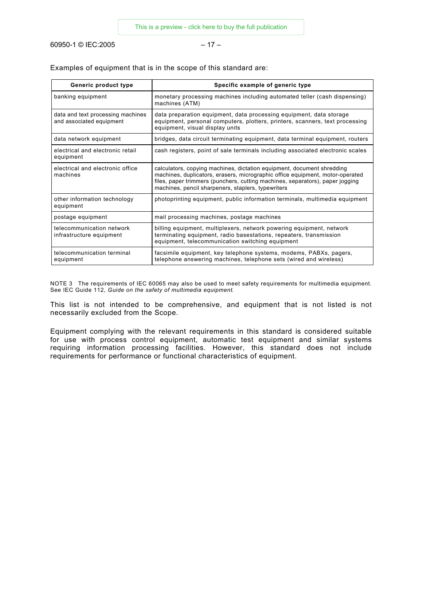60950-1 IEC:2005 – 33 – 60950-1 © IEC:2005 – 17 –

Examples of equipment that is in the scope of this standard are:

| Generic product type                                          | Specific example of generic type                                                                                                                                                                                                                                                               |
|---------------------------------------------------------------|------------------------------------------------------------------------------------------------------------------------------------------------------------------------------------------------------------------------------------------------------------------------------------------------|
| banking equipment                                             | monetary processing machines including automated teller (cash dispensing)<br>machines (ATM)                                                                                                                                                                                                    |
| data and text processing machines<br>and associated equipment | data preparation equipment, data processing equipment, data storage<br>equipment, personal computers, plotters, printers, scanners, text processing<br>equipment, visual display units                                                                                                         |
| data network equipment                                        | bridges, data circuit terminating equipment, data terminal equipment, routers                                                                                                                                                                                                                  |
| electrical and electronic retail<br>equipment                 | cash registers, point of sale terminals including associated electronic scales                                                                                                                                                                                                                 |
| electrical and electronic office<br>machines                  | calculators, copying machines, dictation equipment, document shredding<br>machines, duplicators, erasers, micrographic office equipment, motor-operated<br>files, paper trimmers (punchers, cutting machines, separators), paper jogging<br>machines, pencil sharpeners, staplers, typewriters |
| other information technology<br>equipment                     | photoprinting equipment, public information terminals, multimedia equipment                                                                                                                                                                                                                    |
| postage equipment                                             | mail processing machines, postage machines                                                                                                                                                                                                                                                     |
| telecommunication network<br>infrastructure equipment         | billing equipment, multiplexers, network powering equipment, network<br>terminating equipment, radio basestations, repeaters, transmission<br>equipment, telecommunication switching equipment                                                                                                 |
| telecommunication terminal<br>equipment                       | facsimile equipment, key telephone systems, modems, PABXs, pagers,<br>telephone answering machines, telephone sets (wired and wireless)                                                                                                                                                        |

NOTE 3 The requirements of IEC 60065 may also be used to meet safety requirements for multimedia equipment. See IEC Guide 112, *Guide on the safety of multimedia equipment*.

This list is not intended to be comprehensive, and equipment that is not listed is not necessarily excluded from the Scope.

Equipment complying with the relevant requirements in this standard is considered suitable for use with process control equipment, automatic test equipment and similar systems requiring information processing facilities. However, this standard does not include requirements for performance or functional characteristics of equipment.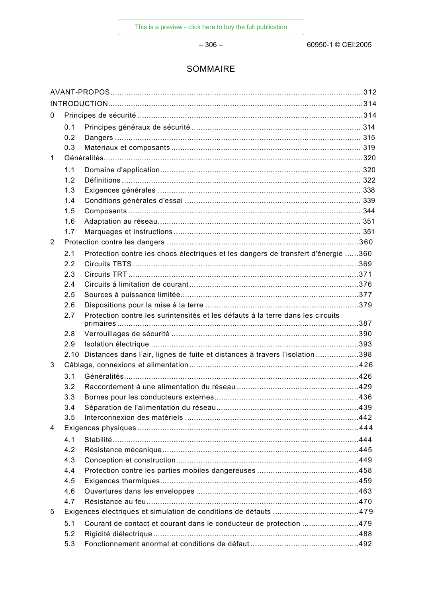$-306-$ 

60950-1 © CEI:2005

# SOMMAIRE

| 0              |      |                                                                                   |  |
|----------------|------|-----------------------------------------------------------------------------------|--|
|                | 0.1  |                                                                                   |  |
|                | 0.2  |                                                                                   |  |
|                | 0.3  |                                                                                   |  |
| 1              |      |                                                                                   |  |
|                | 1.1  |                                                                                   |  |
|                | 1.2  |                                                                                   |  |
|                | 1.3  |                                                                                   |  |
|                | 1.4  |                                                                                   |  |
|                | 1.5  |                                                                                   |  |
|                | 1.6  |                                                                                   |  |
|                | 1.7  |                                                                                   |  |
| $\overline{2}$ |      |                                                                                   |  |
|                | 2.1  | Protection contre les chocs électriques et les dangers de transfert d'énergie 360 |  |
|                | 2.2  |                                                                                   |  |
|                | 2.3  |                                                                                   |  |
|                | 2.4  |                                                                                   |  |
|                | 2.5  |                                                                                   |  |
|                | 2.6  |                                                                                   |  |
|                | 2.7  | Protection contre les surintensités et les défauts à la terre dans les circuits   |  |
|                | 2.8  |                                                                                   |  |
|                | 2.9  |                                                                                   |  |
|                | 2.10 | Distances dans l'air, lignes de fuite et distances à travers l'isolation 398      |  |
| 3              |      |                                                                                   |  |
|                | 3.1  |                                                                                   |  |
|                | 3.2  |                                                                                   |  |
|                | 3.3  |                                                                                   |  |
|                | 3.4  |                                                                                   |  |
|                | 3.5  |                                                                                   |  |
| 4              |      |                                                                                   |  |
|                | 4.1  |                                                                                   |  |
|                | 4.2  |                                                                                   |  |
|                | 4.3  |                                                                                   |  |
|                | 4.4  |                                                                                   |  |
|                | 4.5  |                                                                                   |  |
|                | 4.6  |                                                                                   |  |
|                | 4.7  |                                                                                   |  |
| 5              |      |                                                                                   |  |
|                | 5.1  | Courant de contact et courant dans le conducteur de protection 479                |  |
|                | 5.2  |                                                                                   |  |
|                | 5.3  |                                                                                   |  |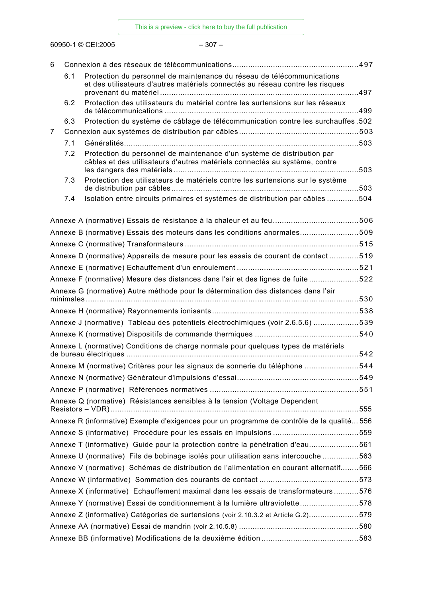[This is a preview - click here to buy the full publication](https://webstore.iec.ch/publication/4020&preview=1)

– 4 – 60950-1 CEI:2005 60950-1 © CEI:2005 – 307 –

| 6 |     |                                                                                                                                                         |  |
|---|-----|---------------------------------------------------------------------------------------------------------------------------------------------------------|--|
|   |     |                                                                                                                                                         |  |
|   | 6.1 | Protection du personnel de maintenance du réseau de télécommunications<br>et des utilisateurs d'autres matériels connectés au réseau contre les risques |  |
|   |     |                                                                                                                                                         |  |
|   | 6.2 | Protection des utilisateurs du matériel contre les surtensions sur les réseaux                                                                          |  |
|   | 6.3 | Protection du système de câblage de télécommunication contre les surchauffes. 502                                                                       |  |
| 7 |     |                                                                                                                                                         |  |
|   | 7.1 |                                                                                                                                                         |  |
|   | 7.2 | Protection du personnel de maintenance d'un système de distribution par<br>câbles et des utilisateurs d'autres matériels connectés au système, contre   |  |
|   | 7.3 | Protection des utilisateurs de matériels contre les surtensions sur le système                                                                          |  |
|   | 7.4 | Isolation entre circuits primaires et systèmes de distribution par câbles 504                                                                           |  |
|   |     |                                                                                                                                                         |  |
|   |     |                                                                                                                                                         |  |
|   |     | Annexe B (normative) Essais des moteurs dans les conditions anormales509                                                                                |  |
|   |     |                                                                                                                                                         |  |
|   |     | Annexe D (normative) Appareils de mesure pour les essais de courant de contact519                                                                       |  |
|   |     |                                                                                                                                                         |  |
|   |     | Annexe F (normative) Mesure des distances dans l'air et des lignes de fuite 522                                                                         |  |
|   |     | Annexe G (normative) Autre méthode pour la détermination des distances dans l'air                                                                       |  |
|   |     |                                                                                                                                                         |  |
|   |     |                                                                                                                                                         |  |
|   |     | Annexe J (normative) Tableau des potentiels électrochimiques (voir 2.6.5.6) 539                                                                         |  |
|   |     |                                                                                                                                                         |  |
|   |     | Annexe L (normative) Conditions de charge normale pour quelques types de matériels                                                                      |  |
|   |     | Annexe M (normative) Critères pour les signaux de sonnerie du téléphone 544                                                                             |  |
|   |     |                                                                                                                                                         |  |
|   |     |                                                                                                                                                         |  |
|   |     | Annexe Q (normative) Résistances sensibles à la tension (Voltage Dependent                                                                              |  |
|   |     |                                                                                                                                                         |  |
|   |     | Annexe R (informative) Exemple d'exigences pour un programme de contrôle de la qualité 556                                                              |  |
|   |     |                                                                                                                                                         |  |
|   |     | Annexe T (informative) Guide pour la protection contre la pénétration d'eau561                                                                          |  |
|   |     | Annexe U (normative) Fils de bobinage isolés pour utilisation sans intercouche 563                                                                      |  |
|   |     | Annexe V (normative) Schémas de distribution de l'alimentation en courant alternatif566                                                                 |  |
|   |     |                                                                                                                                                         |  |
|   |     | Annexe X (informative) Echauffement maximal dans les essais de transformateurs576                                                                       |  |
|   |     | Annexe Y (normative) Essai de conditionnement à la lumière ultraviolette578                                                                             |  |
|   |     | Annexe Z (informative) Catégories de surtensions (voir 2.10.3.2 et Article G.2)579                                                                      |  |
|   |     |                                                                                                                                                         |  |
|   |     |                                                                                                                                                         |  |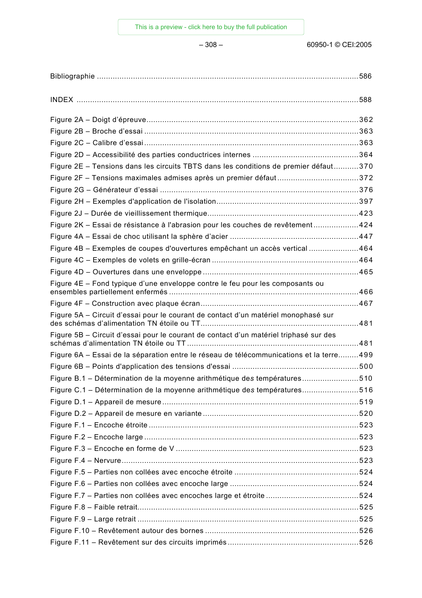| Figure 2E - Tensions dans les circuits TBTS dans les conditions de premier défaut370    |  |
|-----------------------------------------------------------------------------------------|--|
| Figure 2F - Tensions maximales admises après un premier défaut372                       |  |
|                                                                                         |  |
|                                                                                         |  |
|                                                                                         |  |
| Figure 2K - Essai de résistance à l'abrasion pour les couches de revêtement424          |  |
|                                                                                         |  |
| Figure 4B - Exemples de coupes d'ouvertures empêchant un accès vertical 464             |  |
|                                                                                         |  |
|                                                                                         |  |
| Figure 4E - Fond typique d'une enveloppe contre le feu pour les composants ou           |  |
|                                                                                         |  |
| Figure 5A - Circuit d'essai pour le courant de contact d'un matériel monophasé sur      |  |
| Figure 5B - Circuit d'essai pour le courant de contact d'un matériel triphasé sur des   |  |
| Figure 6A – Essai de la séparation entre le réseau de télécommunications et la terre499 |  |
|                                                                                         |  |
| Figure B.1 - Détermination de la moyenne arithmétique des températures510               |  |
| Figure C.1 - Détermination de la moyenne arithmétique des températures516               |  |
|                                                                                         |  |
|                                                                                         |  |
|                                                                                         |  |
|                                                                                         |  |
|                                                                                         |  |
|                                                                                         |  |
|                                                                                         |  |
|                                                                                         |  |
|                                                                                         |  |
|                                                                                         |  |
|                                                                                         |  |
|                                                                                         |  |
|                                                                                         |  |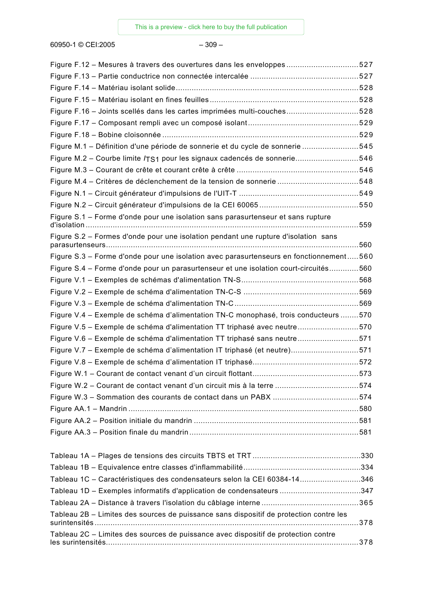– 8 – 60950-1 CEI:2005 60950-1 © CEI:2005 – 309 –

| Figure F.12 - Mesures à travers des ouvertures dans les enveloppes 527                 |  |
|----------------------------------------------------------------------------------------|--|
|                                                                                        |  |
|                                                                                        |  |
|                                                                                        |  |
| Figure F.16 - Joints scellés dans les cartes imprimées multi-couches528                |  |
|                                                                                        |  |
|                                                                                        |  |
| Figure M.1 - Définition d'une période de sonnerie et du cycle de sonnerie 545          |  |
| Figure M.2 - Courbe limite /TS1 pour les signaux cadencés de sonnerie546               |  |
|                                                                                        |  |
| Figure M.4 - Critères de déclenchement de la tension de sonnerie 548                   |  |
|                                                                                        |  |
|                                                                                        |  |
| Figure S.1 – Forme d'onde pour une isolation sans parasurtenseur et sans rupture       |  |
| Figure S.2 - Formes d'onde pour une isolation pendant une rupture d'isolation sans     |  |
| Figure S.3 - Forme d'onde pour une isolation avec parasurtenseurs en fonctionnement560 |  |
| Figure S.4 – Forme d'onde pour un parasurtenseur et une isolation court-circuités560   |  |
|                                                                                        |  |
|                                                                                        |  |
|                                                                                        |  |
| Figure V.4 - Exemple de schéma d'alimentation TN-C monophasé, trois conducteurs 570    |  |
| Figure V.5 - Exemple de schéma d'alimentation TT triphasé avec neutre570               |  |
| Figure V.6 - Exemple de schéma d'alimentation TT triphasé sans neutre571               |  |
| Figure V.7 - Exemple de schéma d'alimentation IT triphasé (et neutre)571               |  |
|                                                                                        |  |
|                                                                                        |  |
|                                                                                        |  |
|                                                                                        |  |
|                                                                                        |  |
|                                                                                        |  |
|                                                                                        |  |
|                                                                                        |  |
|                                                                                        |  |
| Tableau 1C - Caractéristiques des condensateurs selon la CEI 60384-14346               |  |
| Tableau 1D - Exemples informatifs d'application de condensateurs 347                   |  |
|                                                                                        |  |
| Tableau 2B - Limites des sources de puissance sans dispositif de protection contre les |  |
| Tableau 2C - Limites des sources de puissance avec dispositif de protection contre     |  |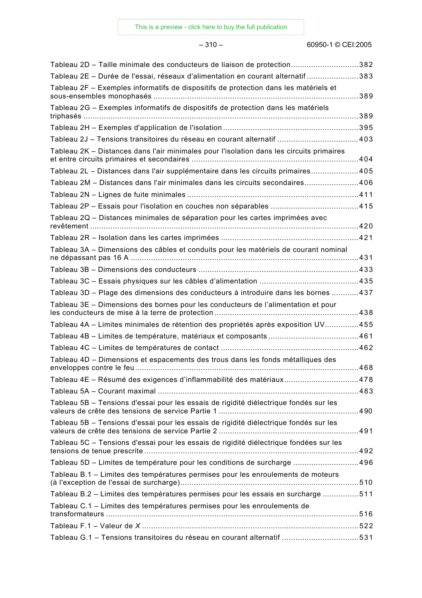#### $-310 -$  60950-1 © CEI:2005

| Tableau 2D - Taille minimale des conducteurs de liaison de protection382                 |      |
|------------------------------------------------------------------------------------------|------|
| Tableau 2E - Durée de l'essai, réseaux d'alimentation en courant alternatif383           |      |
| Tableau 2F – Exemples informatifs de dispositifs de protection dans les matériels et     | .389 |
| Tableau 2G - Exemples informatifs de dispositifs de protection dans les matériels        |      |
|                                                                                          |      |
| Tableau 2J - Tensions transitoires du réseau en courant alternatif 403                   |      |
| Tableau 2K - Distances dans l'air minimales pour l'isolation dans les circuits primaires |      |
| Tableau 2L - Distances dans l'air supplémentaire dans les circuits primaires405          |      |
| Tableau 2M - Distances dans l'air minimales dans les circuits secondaires406             |      |
|                                                                                          |      |
|                                                                                          |      |
| Tableau 2Q - Distances minimales de séparation pour les cartes imprimées avec            |      |
|                                                                                          |      |
| Tableau 3A - Dimensions des câbles et conduits pour les matériels de courant nominal     |      |
|                                                                                          |      |
|                                                                                          |      |
| Tableau 3D – Plage des dimensions des conducteurs à introduire dans les bornes 437       |      |
| Tableau 3E – Dimensions des bornes pour les conducteurs de l'alimentation et pour        |      |
| Tableau 4A - Limites minimales de rétention des propriétés après exposition UV455        |      |
|                                                                                          |      |
|                                                                                          |      |
| Tableau 4D - Dimensions et espacements des trous dans les fonds métalliques des          | .468 |
| Tableau 4E - Résumé des exigences d'inflammabilité des matériaux478                      |      |
|                                                                                          |      |
| Tableau 5B - Tensions d'essai pour les essais de rigidité diélectrique fondés sur les    |      |
| Tableau 5B - Tensions d'essai pour les essais de rigidité diélectrique fondés sur les    |      |
| Tableau 5C – Tensions d'essai pour les essais de rigidité diélectrique fondées sur les   |      |
| Tableau 5D – Limites de température pour les conditions de surcharge 496                 |      |
| Tableau B.1 – Limites des températures permises pour les enroulements de moteurs         |      |
| Tableau B.2 - Limites des températures permises pour les essais en surcharge 511         |      |
| Tableau C.1 - Limites des températures permises pour les enroulements de                 |      |
|                                                                                          |      |
| Tableau G.1 - Tensions transitoires du réseau en courant alternatif 531                  |      |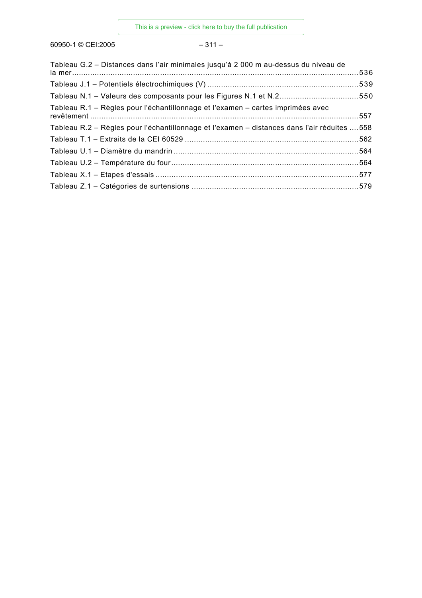– 12 – 60950-1 CEI:2005 60950-1 © CEI:2005 – 311 –

| Tableau G.2 – Distances dans l'air minimales jusqu'à 2 000 m au-dessus du niveau de         |  |
|---------------------------------------------------------------------------------------------|--|
|                                                                                             |  |
| Tableau N.1 – Valeurs des composants pour les Figures N.1 et N.2550                         |  |
| Tableau R.1 – Règles pour l'échantillonnage et l'examen – cartes imprimées avec             |  |
| Tableau R.2 – Règles pour l'échantillonnage et l'examen – distances dans l'air réduites 558 |  |
|                                                                                             |  |
|                                                                                             |  |
|                                                                                             |  |
|                                                                                             |  |
|                                                                                             |  |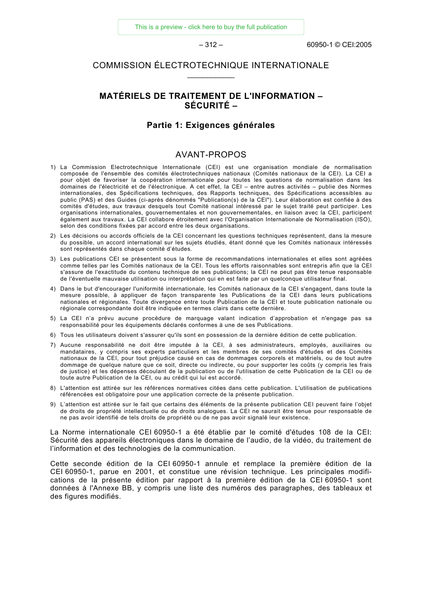$-312 -$  60950-1 © CEI:2005

# COMMISSION ÉLECTROTECHNIQUE INTERNATIONALE \_\_\_\_\_\_\_\_\_\_\_\_

# **MATÉRIELS DE TRAITEMENT DE L'INFORMATION – SÉCURITÉ –**

### **Partie 1: Exigences générales**

# AVANT-PROPOS

- 1) La Commission Electrotechnique Internationale (CEI) est une organisation mondiale de normalisation composée de l'ensemble des comités électrotechniques nationaux (Comités nationaux de la CEI). La CEI a pour objet de favoriser la coopération internationale pour toutes les questions de normalisation dans les domaines de l'électricité et de l'électronique. A cet effet, la CEI – entre autres activités – publie des Normes internationales, des Spécifications techniques, des Rapports techniques, des Spécifications accessibles au public (PAS) et des Guides (ci-après dénommés "Publication(s) de la CEI"). Leur élaboration est confiée à des comités d'études, aux travaux desquels tout Comité national intéressé par le sujet traité peut participer. Les organisations internationales, gouvernementales et non gouvernementales, en liaison avec la CEI, participent également aux travaux. La CEI collabore étroitement avec l'Organisation Internationale de Normalisation (ISO), selon des conditions fixées par accord entre les deux organisations.
- 2) Les décisions ou accords officiels de la CEI concernant les questions techniques représentent, dans la mesure du possible, un accord international sur les sujets étudiés, étant donné que les Comités nationaux intéressés sont représentés dans chaque comité d'études.
- 3) Les publications CEI se présentent sous la forme de recommandations internationales et elles sont agréées comme telles par les Comités nationaux de la CEI. Tous les efforts raisonnables sont entrepris afin que la CEI s'assure de l'exactitude du contenu technique de ses publications; la CEI ne peut pas être tenue responsable de l'éventuelle mauvaise utilisation ou interprétation qui en est faite par un quelconque utilisateur final.
- 4) Dans le but d'encourager l'uniformité internationale, les Comités nationaux de la CEI s'engagent, dans toute la mesure possible, à appliquer de façon transparente les Publications de la CEI dans leurs publications nationales et régionales. Toute divergence entre toute Publication de la CEI et toute publication nationale ou régionale correspondante doit être indiquée en termes clairs dans cette dernière.
- 5) La CEI n'a prévu aucune procédure de marquage valant indication d'approbation et n'engage pas sa responsabilité pour les équipements déclarés conformes à une de ses Publications.
- 6) Tous les utilisateurs doivent s'assurer qu'ils sont en possession de la dernière édition de cette publication.
- 7) Aucune responsabilité ne doit être imputée à la CEI, à ses administrateurs, employés, auxiliaires ou mandataires, y compris ses experts particuliers et les membres de ses comités d'études et des Comités nationaux de la CEI, pour tout préjudice causé en cas de dommages corporels et matériels, ou de tout autre dommage de quelque nature que ce soit, directe ou indirecte, ou pour supporter les coûts (y compris les frais de justice) et les dépenses découlant de la publication ou de l'utilisation de cette Publication de la CEI ou de toute autre Publication de la CEI, ou au crédit qui lui est accordé.
- 8) L'attention est attirée sur les références normatives citées dans cette publication. L'utilisation de publications référencées est obligatoire pour une application correcte de la présente publication.
- 9) L'attention est attirée sur le fait que certains des éléments de la présente publication CEI peuvent faire l'objet de droits de propriété intellectuelle ou de droits analogues. La CEI ne saurait être tenue pour responsable de ne pas avoir identifié de tels droits de propriété ou de ne pas avoir signalé leur existence.

La Norme internationale CEI 60950-1 a été établie par le comité d'études 108 de la CEI: Sécurité des appareils électroniques dans le domaine de l'audio, de la vidéo, du traitement de l'information et des technologies de la communication.

Cette seconde édition de la CEI 60950-1 annule et remplace la première édition de la CEI 60950-1, parue en 2001, et constitue une révision technique. Les principales modifications de la présente édition par rapport à la première édition de la CEI 60950-1 sont données à l'Annexe BB, y compris une liste des numéros des paragraphes, des tableaux et des figures modifiés.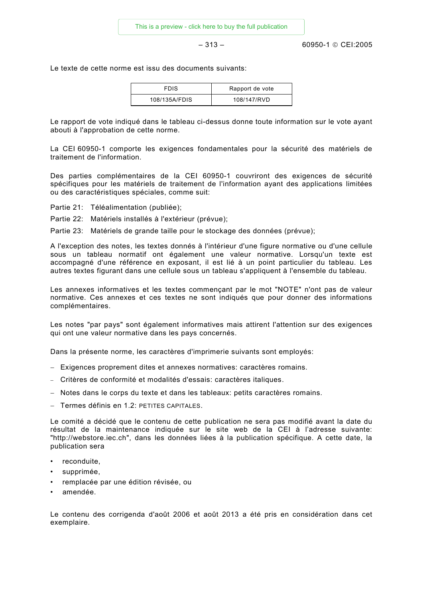$-313 - 60950-1$  © CFI:2005

Le texte de cette norme est issu des documents suivants:

| <b>FDIS</b>   | Rapport de vote |
|---------------|-----------------|
| 108/135A/FDIS | 108/147/RVD     |

Le rapport de vote indiqué dans le tableau ci-dessus donne toute information sur le vote ayant abouti à l'approbation de cette norme.

La CEI 60950-1 comporte les exigences fondamentales pour la sécurité des matériels de traitement de l'information.

Des parties complémentaires de la CEI 60950-1 couvriront des exigences de sécurité spécifiques pour les matériels de traitement de l'information ayant des applications limitées ou des caractéristiques spéciales, comme suit:

Partie 21: Téléalimentation (publiée);

Partie 22: Matériels installés à l'extérieur (prévue);

Partie 23: Matériels de grande taille pour le stockage des données (prévue);

A l'exception des notes, les textes donnés à l'intérieur d'une figure normative ou d'une cellule sous un tableau normatif ont également une valeur normative. Lorsqu'un texte est accompagné d'une référence en exposant, il est lié à un point particulier du tableau. Les autres textes figurant dans une cellule sous un tableau s'appliquent à l'ensemble du tableau.

Les annexes informatives et les textes commençant par le mot "NOTE" n'ont pas de valeur normative. Ces annexes et ces textes ne sont indiqués que pour donner des informations complémentaires.

Les notes "par pays" sont également informatives mais attirent l'attention sur des exigences qui ont une valeur normative dans les pays concernés.

Dans la présente norme, les caractères d'imprimerie suivants sont employés:

- − Exigences proprement dites et annexes normatives: caractères romains.
- − Critères de conformité et modalités d'essais: caractères italiques.
- − Notes dans le corps du texte et dans les tableaux: petits caractères romains.
- − Termes définis en 1.2: PETITES CAPITALES.

Le comité a décidé que le contenu de cette publication ne sera pas modifié avant la date du résultat de la maintenance indiquée sur le site web de la CEI à l'adresse suivante: "http://webstore.iec.ch", dans les données liées à la publication spécifique. A cette date, la publication sera

- reconduite,
- supprimée.
- remplacée par une édition révisée, ou
- amendée.

Le contenu des corrigenda d'août 2006 et août 2013 a été pris en considération dans cet exemplaire.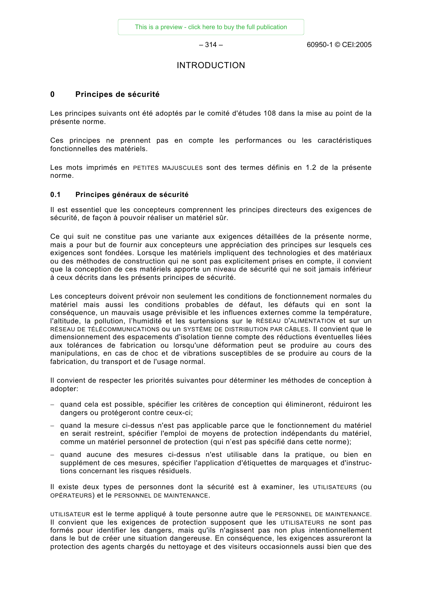$-314 - 314 - 60950 - 1$  © CEI:2005

# INTRODUCTION

# **0 Principes de sécurité**

Les principes suivants ont été adoptés par le comité d'études 108 dans la mise au point de la présente norme.

Ces principes ne prennent pas en compte les performances ou les caractéristiques fonctionnelles des matériels.

Les mots imprimés en PETITES MAJUSCULES sont des termes définis en 1.2 de la présente norme.

# **0.1 Principes généraux de sécurité**

Il est essentiel que les concepteurs comprennent les principes directeurs des exigences de sécurité, de façon à pouvoir réaliser un matériel sûr.

Ce qui suit ne constitue pas une variante aux exigences détaillées de la présente norme, mais a pour but de fournir aux concepteurs une appréciation des principes sur lesquels ces exigences sont fondées. Lorsque les matériels impliquent des technologies et des matériaux ou des méthodes de construction qui ne sont pas explicitement prises en compte, il convient que la conception de ces matériels apporte un niveau de sécurité qui ne soit jamais inférieur à ceux décrits dans les présents principes de sécurité.

Les concepteurs doivent prévoir non seulement les conditions de fonctionnement normales du matériel mais aussi les conditions probables de défaut, les défauts qui en sont la conséquence, un mauvais usage prévisible et les influences externes comme la température, l'altitude, la pollution, l'humidité et les surtensions sur le RÉSEAU D'ALIMENTATION et sur un RÉSEAU DE TÉLÉCOMMUNICATIONS ou un SYSTÈME DE DISTRIBUTION PAR CÂBLES. Il convient que le dimensionnement des espacements d'isolation tienne compte des réductions éventuelles liées aux tolérances de fabrication ou lorsqu'une déformation peut se produire au cours des manipulations, en cas de choc et de vibrations susceptibles de se produire au cours de la fabrication, du transport et de l'usage normal.

Il convient de respecter les priorités suivantes pour déterminer les méthodes de conception à adopter:

- − quand cela est possible, spécifier les critères de conception qui élimineront, réduiront les dangers ou protégeront contre ceux-ci;
- − quand la mesure ci-dessus n'est pas applicable parce que le fonctionnement du matériel en serait restreint, spécifier l'emploi de moyens de protection indépendants du matériel, comme un matériel personnel de protection (qui n'est pas spécifié dans cette norme);
- − quand aucune des mesures ci-dessus n'est utilisable dans la pratique, ou bien en supplément de ces mesures, spécifier l'application d'étiquettes de marquages et d'instructions concernant les risques résiduels.

Il existe deux types de personnes dont la sécurité est à examiner, les UTILISATEURS (ou OPÉRATEURS) et le PERSONNEL DE MAINTENANCE.

UTILISATEUR est le terme appliqué à toute personne autre que le PERSONNEL DE MAINTENANCE. Il convient que les exigences de protection supposent que les UTILISATEURS ne sont pas formés pour identifier les dangers, mais qu'ils n'agissent pas non plus intentionnellement dans le but de créer une situation dangereuse. En conséquence, les exigences assureront la protection des agents chargés du nettoyage et des visiteurs occasionnels aussi bien que des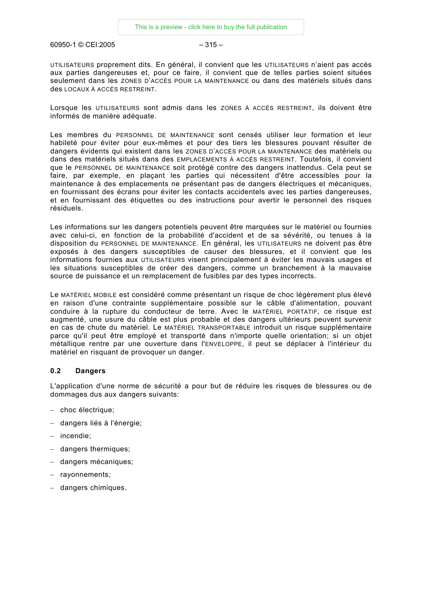– 20 – 60950-1 CEI:2005 60950-1 © CEI:2005 – 315 –

UTILISATEURS proprement dits. En général, il convient que les UTILISATEURS n'aient pas accès aux parties dangereuses et, pour ce faire, il convient que de telles parties soient situées seulement dans les ZONES D'ACCÈS POUR LA MAINTENANCE ou dans des matériels situés dans des LOCAUX À ACCÈS RESTREINT.

Lorsque les UTILISATEURS sont admis dans les ZONES À ACCÈS RESTREINT, ils doivent être informés de manière adéquate.

Les membres du PERSONNEL DE MAINTENANCE sont censés utiliser leur formation et leur habileté pour éviter pour eux-mêmes et pour des tiers les blessures pouvant résulter de dangers évidents qui existent dans les ZONES D'ACCÈS POUR LA MAINTENANCE des matériels ou dans des matériels situés dans des EMPLACEMENTS À ACCÈS RESTREINT. Toutefois, il convient que le PERSONNEL DE MAINTENANCE soit protégé contre des dangers inattendus. Cela peut se faire, par exemple, en plaçant les parties qui nécessitent d'être accessibles pour la maintenance à des emplacements ne présentant pas de dangers électriques et mécaniques, en fournissant des écrans pour éviter les contacts accidentels avec les parties dangereuses, et en fournissant des étiquettes ou des instructions pour avertir le personnel des risques résiduels.

Les informations sur les dangers potentiels peuvent être marquées sur le matériel ou fournies avec celui-ci, en fonction de la probabilité d'accident et de sa sévérité, ou tenues à la disposition du PERSONNEL DE MAINTENANCE. En général, les UTILISATEURS ne doivent pas être exposés à des dangers susceptibles de causer des blessures, et il convient que les informations fournies aux UTILISATEURS visent principalement à éviter les mauvais usages et les situations susceptibles de créer des dangers, comme un branchement à la mauvaise source de puissance et un remplacement de fusibles par des types incorrects.

Le MATÉRIEL MOBILE est considéré comme présentant un risque de choc légèrement plus élevé en raison d'une contrainte supplémentaire possible sur le câble d'alimentation, pouvant conduire à la rupture du conducteur de terre. Avec le MATÉRIEL PORTATIF, ce risque est augmenté, une usure du câble est plus probable et des dangers ultérieurs peuvent survenir en cas de chute du matériel. Le MATÉRIEL TRANSPORTABLE introduit un risque supplémentaire parce qu'il peut être employé et transporté dans n'importe quelle orientation; si un objet métallique rentre par une ouverture dans l'ENVELOPPE, il peut se déplacer à l'intérieur du matériel en risquant de provoquer un danger.

### **0.2 Dangers**

L'application d'une norme de sécurité a pour but de réduire les risques de blessures ou de dommages dus aux dangers suivants:

- − choc électrique;
- − dangers liés à l'énergie;
- − incendie;
- − dangers thermiques;
- dangers mécaniques;
- − rayonnements;
- − dangers chimiques.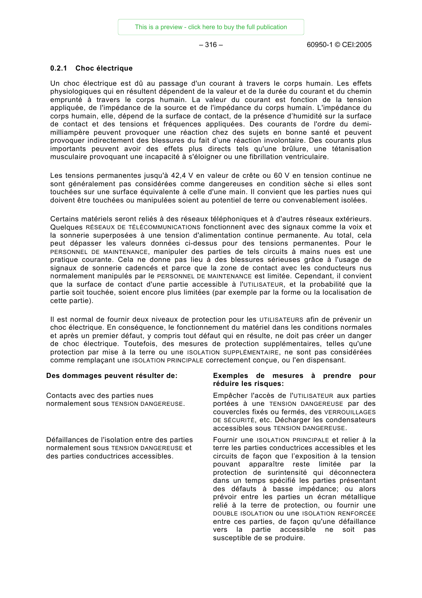$-316 -$  60950-1 © CEI:2005

# **0.2.1 Choc électrique**

Un choc électrique est dû au passage d'un courant à travers le corps humain. Les effets physiologiques qui en résultent dépendent de la valeur et de la durée du courant et du chemin emprunté à travers le corps humain. La valeur du courant est fonction de la tension appliquée, de l'impédance de la source et de l'impédance du corps humain. L'impédance du corps humain, elle, dépend de la surface de contact, de la présence d'humidité sur la surface de contact et des tensions et fréquences appliquées. Des courants de l'ordre du demimilliampère peuvent provoquer une réaction chez des sujets en bonne santé et peuvent provoquer indirectement des blessures du fait d'une réaction involontaire. Des courants plus importants peuvent avoir des effets plus directs tels qu'une brûlure, une tétanisation musculaire provoquant une incapacité à s'éloigner ou une fibrillation ventriculaire.

Les tensions permanentes jusqu'à 42,4 V en valeur de crête ou 60 V en tension continue ne sont généralement pas considérées comme dangereuses en condition sèche si elles sont touchées sur une surface équivalente à celle d'une main. Il convient que les parties nues qui doivent être touchées ou manipulées soient au potentiel de terre ou convenablement isolées.

Certains matériels seront reliés à des réseaux téléphoniques et à d'autres réseaux extérieurs. Quelques RÉSEAUX DE TÉLÉCOMMUNICATIONS fonctionnent avec des signaux comme la voix et la sonnerie superposées à une tension d'alimentation continue permanente. Au total, cela peut dépasser les valeurs données ci-dessus pour des tensions permanentes. Pour le PERSONNEL DE MAINTENANCE, manipuler des parties de tels circuits à mains nues est une pratique courante. Cela ne donne pas lieu à des blessures sérieuses grâce à l'usage de signaux de sonnerie cadencés et parce que la zone de contact avec les conducteurs nus normalement manipulés par le PERSONNEL DE MAINTENANCE est limitée. Cependant, il convient que la surface de contact d'une partie accessible à l'UTILISATEUR, et la probabilité que la partie soit touchée, soient encore plus limitées (par exemple par la forme ou la localisation de cette partie).

Il est normal de fournir deux niveaux de protection pour les UTILISATEURS afin de prévenir un choc électrique. En conséquence, le fonctionnement du matériel dans les conditions normales et après un premier défaut, y compris tout défaut qui en résulte, ne doit pas créer un danger de choc électrique. Toutefois, des mesures de protection supplémentaires, telles qu'une protection par mise à la terre ou une ISOLATION SUPPLÉMENTAIRE, ne sont pas considérées comme remplaçant une ISOLATION PRINCIPALE correctement conçue, ou l'en dispensant.

Contacts avec des parties nues normalement sous TENSION DANGEREUSE.

Défaillances de l'isolation entre des parties normalement sous TENSION DANGEREUSE et des parties conductrices accessibles.

#### **Des dommages peuvent résulter de: Exemples de mesures à prendre pour réduire les risques:**

Empêcher l'accès de l'UTILISATEUR aux parties portées à une TENSION DANGEREUSE par des couvercles fixés ou fermés, des VERROUILLAGES DE SÉCURITÉ, etc. Décharger les condensateurs accessibles sous TENSION DANGEREUSE.

Fournir une ISOLATION PRINCIPALE et relier à la terre les parties conductrices accessibles et les circuits de façon que l'exposition à la tension pouvant apparaître reste limitée par la protection de surintensité qui déconnectera dans un temps spécifié les parties présentant des défauts à basse impédance; ou alors prévoir entre les parties un écran métallique relié à la terre de protection, ou fournir une DOUBLE ISOLATION ou une ISOLATION RENFORCÉE entre ces parties, de façon qu'une défaillance vers la partie accessible ne soit pas susceptible de se produire.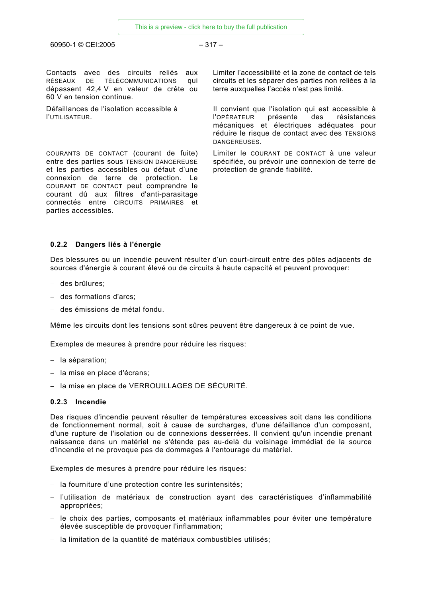– 24 – 60950-1 CEI:2005 60950-1 © CEI:2005 – 317 –

Contacts avec des circuits reliés aux RÉSEAUX DE TÉLÉCOMMUNICATIONS qui dépassent 42,4 V en valeur de crête ou 60 V en tension continue.

Défaillances de l'isolation accessible à l'UTILISATEUR.

COURANTS DE CONTACT (courant de fuite) entre des parties sous TENSION DANGEREUSE et les parties accessibles ou défaut d'une connexion de terre de protection. Le COURANT DE CONTACT peut comprendre le courant dû aux filtres d'anti-parasitage connectés entre CIRCUITS PRIMAIRES et parties accessibles.

Limiter l'accessibilité et la zone de contact de tels circuits et les séparer des parties non reliées à la terre auxquelles l'accès n'est pas limité.

Il convient que l'isolation qui est accessible à l'OPÉRATEUR présente des résistances mécaniques et électriques adéquates pour réduire le risque de contact avec des TENSIONS DANGEREUSES.

Limiter le COURANT DE CONTACT à une valeur spécifiée, ou prévoir une connexion de terre de protection de grande fiabilité.

### **0.2.2 Dangers liés à l'énergie**

Des blessures ou un incendie peuvent résulter d'un court-circuit entre des pôles adjacents de sources d'énergie à courant élevé ou de circuits à haute capacité et peuvent provoquer:

- − des brûlures;
- − des formations d'arcs;
- − des émissions de métal fondu.

Même les circuits dont les tensions sont sûres peuvent être dangereux à ce point de vue.

Exemples de mesures à prendre pour réduire les risques:

- − la séparation;
- − la mise en place d'écrans;
- − la mise en place de VERROUILLAGES DE SÉCURITÉ.

### **0.2.3 Incendie**

Des risques d'incendie peuvent résulter de températures excessives soit dans les conditions de fonctionnement normal, soit à cause de surcharges, d'une défaillance d'un composant, d'une rupture de l'isolation ou de connexions desserrées. Il convient qu'un incendie prenant naissance dans un matériel ne s'étende pas au-delà du voisinage immédiat de la source d'incendie et ne provoque pas de dommages à l'entourage du matériel.

Exemples de mesures à prendre pour réduire les risques:

- − la fourniture d'une protection contre les surintensités;
- − l'utilisation de matériaux de construction ayant des caractéristiques d'inflammabilité appropriées;
- − le choix des parties, composants et matériaux inflammables pour éviter une température élevée susceptible de provoquer l'inflammation;
- − la limitation de la quantité de matériaux combustibles utilisés;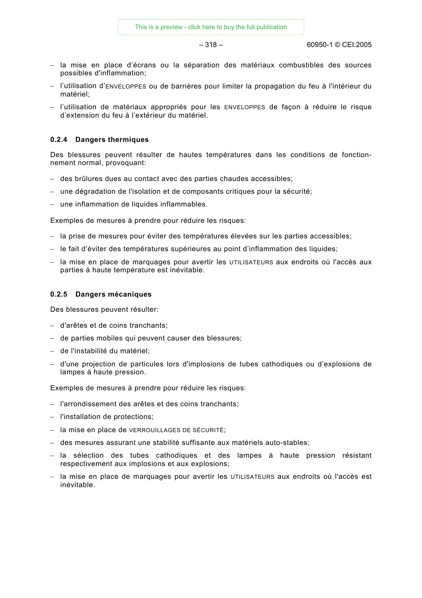$-318 -$  60950-1 © CEI:2005

- − la mise en place d'écrans ou la séparation des matériaux combustibles des sources possibles d'inflammation;
- − l'utilisation d'ENVELOPPES ou de barrières pour limiter la propagation du feu à l'intérieur du matériel;
- − l'utilisation de matériaux appropriés pour les ENVELOPPES de façon à réduire le risque d'extension du feu à l'extérieur du matériel.

### **0.2.4 Dangers thermiques**

Des blessures peuvent résulter de hautes températures dans les conditions de fonctionnement normal, provoquant:

- − des brûlures dues au contact avec des parties chaudes accessibles;
- − une dégradation de l'isolation et de composants critiques pour la sécurité;
- − une inflammation de liquides inflammables.

Exemples de mesures à prendre pour réduire les risques:

- − la prise de mesures pour éviter des températures élevées sur les parties accessibles;
- − le fait d'éviter des températures supérieures au point d'inflammation des liquides;
- − la mise en place de marquages pour avertir les UTILISATEURS aux endroits où l'accès aux parties à haute température est inévitable.

### **0.2.5 Dangers mécaniques**

Des blessures peuvent résulter:

- − d'arêtes et de coins tranchants;
- − de parties mobiles qui peuvent causer des blessures;
- − de l'instabilité du matériel;
- − d'une projection de particules lors d'implosions de tubes cathodiques ou d'explosions de lampes à haute pression.

Exemples de mesures à prendre pour réduire les risques:

- − l'arrondissement des arêtes et des coins tranchants;
- − l'installation de protections;
- − la mise en place de VERROUILLAGES DE SÉCURITÉ;
- − des mesures assurant une stabilité suffisante aux matériels auto-stables;
- − la sélection des tubes cathodiques et des lampes à haute pression résistant respectivement aux implosions et aux explosions;
- − la mise en place de marquages pour avertir les UTILISATEURS aux endroits où l'accès est inévitable.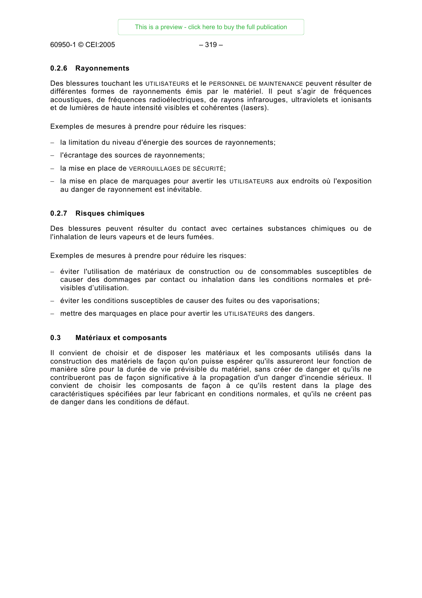– 28 – 60950-1 CEI:2005 60950-1 © CEI:2005 – 319 –

### **0.2.6 Rayonnements**

Des blessures touchant les UTILISATEURS et le PERSONNEL DE MAINTENANCE peuvent résulter de différentes formes de rayonnements émis par le matériel. Il peut s'agir de fréquences acoustiques, de fréquences radioélectriques, de rayons infrarouges, ultraviolets et ionisants et de lumières de haute intensité visibles et cohérentes (lasers).

Exemples de mesures à prendre pour réduire les risques:

- − la limitation du niveau d'énergie des sources de rayonnements;
- − l'écrantage des sources de rayonnements;
- − la mise en place de VERROUILLAGES DE SÉCURITÉ;
- − la mise en place de marquages pour avertir les UTILISATEURS aux endroits où l'exposition au danger de rayonnement est inévitable.

### **0.2.7 Risques chimiques**

Des blessures peuvent résulter du contact avec certaines substances chimiques ou de l'inhalation de leurs vapeurs et de leurs fumées.

Exemples de mesures à prendre pour réduire les risques:

- − éviter l'utilisation de matériaux de construction ou de consommables susceptibles de causer des dommages par contact ou inhalation dans les conditions normales et prévisibles d'utilisation.
- − éviter les conditions susceptibles de causer des fuites ou des vaporisations;
- − mettre des marquages en place pour avertir les UTILISATEURS des dangers.

### **0.3 Matériaux et composants**

Il convient de choisir et de disposer les matériaux et les composants utilisés dans la construction des matériels de façon qu'on puisse espérer qu'ils assureront leur fonction de manière sûre pour la durée de vie prévisible du matériel, sans créer de danger et qu'ils ne contribueront pas de façon significative à la propagation d'un danger d'incendie sérieux. Il convient de choisir les composants de façon à ce qu'ils restent dans la plage des caractéristiques spécifiées par leur fabricant en conditions normales, et qu'ils ne créent pas de danger dans les conditions de défaut.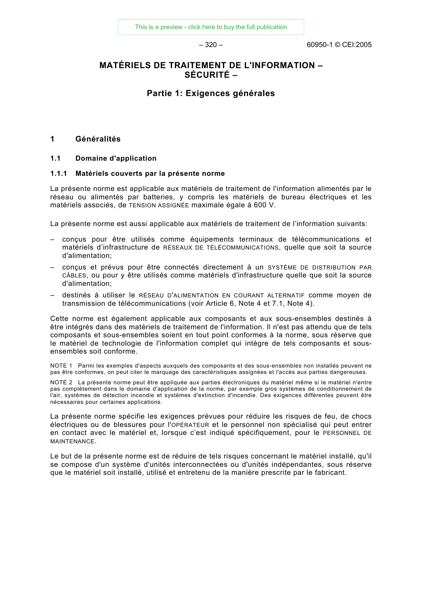# **MATÉRIELS DE TRAITEMENT DE L'INFORMATION – SÉCURITÉ –**

# **Partie 1: Exigences générales**

# **1 Généralités**

### **1.1 Domaine d'application**

### **1.1.1 Matériels couverts par la présente norme**

La présente norme est applicable aux matériels de traitement de l'information alimentés par le réseau ou alimentés par batteries, y compris les matériels de bureau électriques et les matériels associés, de TENSION ASSIGNÉE maximale égale à 600 V.

La présente norme est aussi applicable aux matériels de traitement de l'information suivants:

- conçus pour être utilisés comme équipements terminaux de télécommunications et matériels d'infrastructure de RÉSEAUX DE TÉLÉCOMMUNICATIONS, quelle que soit la source d'alimentation;
- conçus et prévus pour être connectés directement à un SYSTÈME DE DISTRIBUTION PAR CÂBLES, ou pour y être utilisés comme matériels d'infrastructure quelle que soit la source d'alimentation;
- destinés à utiliser le RÉSEAU D'ALIMENTATION EN COURANT ALTERNATIF comme moyen de transmission de télécommunications (voir Article 6, Note 4 et 7.1, Note 4).

Cette norme est également applicable aux composants et aux sous-ensembles destinés à être intégrés dans des matériels de traitement de l'information. Il n'est pas attendu que de tels composants et sous-ensembles soient en tout point conformes à la norme, sous réserve que le matériel de technologie de l'information complet qui intègre de tels composants et sousensembles soit conforme.

NOTE 1 Parmi les exemples d'aspects auxquels des composants et des sous-ensembles non installés peuvent ne pas être conformes, on peut citer le marquage des caractéristiques assignées et l'accès aux parties dangereuses.

NOTE 2 La présente norme peut être appliquée aux parties électroniques du matériel même si le matériel n'entre pas complètement dans le domaine d'application de la norme, par exemple gros systèmes de conditionnement de l'air, systèmes de détection incendie et systèmes d'extinction d'incendie. Des exigences différentes peuvent être nécessaires pour certaines applications.

La présente norme spécifie les exigences prévues pour réduire les risques de feu, de chocs électriques ou de blessures pour l'OPÉRATEUR et le personnel non spécialisé qui peut entrer en contact avec le matériel et, lorsque c'est indiqué spécifiquement, pour le PERSONNEL DE MAINTENANCE.

Le but de la présente norme est de réduire de tels risques concernant le matériel installé, qu'il se compose d'un système d'unités interconnectées ou d'unités indépendantes, sous réserve que le matériel soit installé, utilisé et entretenu de la manière prescrite par le fabricant.